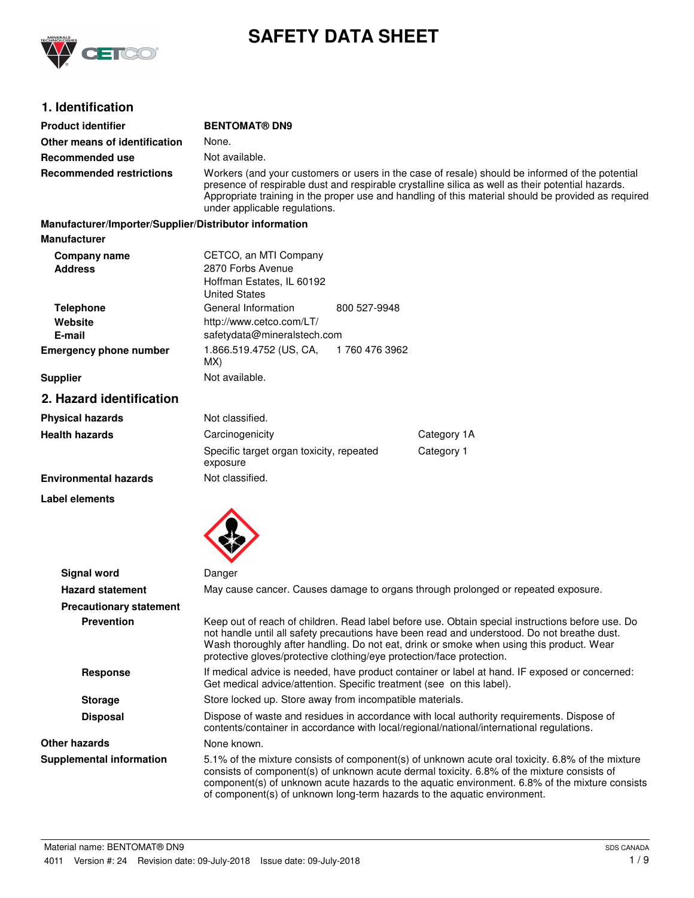

# **SAFETY DATA SHEET**

# **1. Identification**

| <b>Product identifier</b>                              | <b>BENTOMAT® DN9</b>                                                                                                                                                                                                                                                                                                                         |                                                                                                                                                                                       |                                                                                                                                                                                                                                                                                                                                                                              |
|--------------------------------------------------------|----------------------------------------------------------------------------------------------------------------------------------------------------------------------------------------------------------------------------------------------------------------------------------------------------------------------------------------------|---------------------------------------------------------------------------------------------------------------------------------------------------------------------------------------|------------------------------------------------------------------------------------------------------------------------------------------------------------------------------------------------------------------------------------------------------------------------------------------------------------------------------------------------------------------------------|
| Other means of identification                          | None.                                                                                                                                                                                                                                                                                                                                        |                                                                                                                                                                                       |                                                                                                                                                                                                                                                                                                                                                                              |
| Recommended use                                        | Not available.                                                                                                                                                                                                                                                                                                                               |                                                                                                                                                                                       |                                                                                                                                                                                                                                                                                                                                                                              |
| <b>Recommended restrictions</b>                        | Workers (and your customers or users in the case of resale) should be informed of the potential<br>presence of respirable dust and respirable crystalline silica as well as their potential hazards.<br>Appropriate training in the proper use and handling of this material should be provided as required<br>under applicable regulations. |                                                                                                                                                                                       |                                                                                                                                                                                                                                                                                                                                                                              |
| Manufacturer/Importer/Supplier/Distributor information |                                                                                                                                                                                                                                                                                                                                              |                                                                                                                                                                                       |                                                                                                                                                                                                                                                                                                                                                                              |
| <b>Manufacturer</b>                                    |                                                                                                                                                                                                                                                                                                                                              |                                                                                                                                                                                       |                                                                                                                                                                                                                                                                                                                                                                              |
| Company name<br><b>Address</b>                         | CETCO, an MTI Company<br>2870 Forbs Avenue<br>Hoffman Estates, IL 60192<br><b>United States</b>                                                                                                                                                                                                                                              |                                                                                                                                                                                       |                                                                                                                                                                                                                                                                                                                                                                              |
| <b>Telephone</b><br>Website                            | General Information<br>http://www.cetco.com/LT/                                                                                                                                                                                                                                                                                              | 800 527-9948                                                                                                                                                                          |                                                                                                                                                                                                                                                                                                                                                                              |
| E-mail                                                 | safetydata@mineralstech.com                                                                                                                                                                                                                                                                                                                  |                                                                                                                                                                                       |                                                                                                                                                                                                                                                                                                                                                                              |
| <b>Emergency phone number</b>                          | 1.866.519.4752 (US, CA,<br>MX)                                                                                                                                                                                                                                                                                                               | 1760 476 3962                                                                                                                                                                         |                                                                                                                                                                                                                                                                                                                                                                              |
| <b>Supplier</b>                                        | Not available.                                                                                                                                                                                                                                                                                                                               |                                                                                                                                                                                       |                                                                                                                                                                                                                                                                                                                                                                              |
| 2. Hazard identification                               |                                                                                                                                                                                                                                                                                                                                              |                                                                                                                                                                                       |                                                                                                                                                                                                                                                                                                                                                                              |
| <b>Physical hazards</b>                                | Not classified.                                                                                                                                                                                                                                                                                                                              |                                                                                                                                                                                       |                                                                                                                                                                                                                                                                                                                                                                              |
| <b>Health hazards</b>                                  | Carcinogenicity                                                                                                                                                                                                                                                                                                                              |                                                                                                                                                                                       | Category 1A                                                                                                                                                                                                                                                                                                                                                                  |
|                                                        | Specific target organ toxicity, repeated<br>exposure                                                                                                                                                                                                                                                                                         |                                                                                                                                                                                       | Category 1                                                                                                                                                                                                                                                                                                                                                                   |
| <b>Environmental hazards</b>                           | Not classified.                                                                                                                                                                                                                                                                                                                              |                                                                                                                                                                                       |                                                                                                                                                                                                                                                                                                                                                                              |
| <b>Label elements</b>                                  |                                                                                                                                                                                                                                                                                                                                              |                                                                                                                                                                                       |                                                                                                                                                                                                                                                                                                                                                                              |
| <b>Signal word</b>                                     | Danger                                                                                                                                                                                                                                                                                                                                       |                                                                                                                                                                                       |                                                                                                                                                                                                                                                                                                                                                                              |
| <b>Hazard statement</b>                                |                                                                                                                                                                                                                                                                                                                                              |                                                                                                                                                                                       | May cause cancer. Causes damage to organs through prolonged or repeated exposure.                                                                                                                                                                                                                                                                                            |
| <b>Precautionary statement</b>                         |                                                                                                                                                                                                                                                                                                                                              |                                                                                                                                                                                       |                                                                                                                                                                                                                                                                                                                                                                              |
| <b>Prevention</b>                                      | protective gloves/protective clothing/eye protection/face protection.                                                                                                                                                                                                                                                                        |                                                                                                                                                                                       | Keep out of reach of children. Read label before use. Obtain special instructions before use. Do<br>not handle until all safety precautions have been read and understood. Do not breathe dust.<br>Wash thoroughly after handling. Do not eat, drink or smoke when using this product. Wear                                                                                  |
| <b>Response</b>                                        | If medical advice is needed, have product container or label at hand. IF exposed or concerned:<br>Get medical advice/attention. Specific treatment (see on this label).                                                                                                                                                                      |                                                                                                                                                                                       |                                                                                                                                                                                                                                                                                                                                                                              |
| <b>Storage</b>                                         | Store locked up. Store away from incompatible materials.                                                                                                                                                                                                                                                                                     |                                                                                                                                                                                       |                                                                                                                                                                                                                                                                                                                                                                              |
| <b>Disposal</b>                                        |                                                                                                                                                                                                                                                                                                                                              | Dispose of waste and residues in accordance with local authority requirements. Dispose of<br>contents/container in accordance with local/regional/national/international regulations. |                                                                                                                                                                                                                                                                                                                                                                              |
| Other hazards                                          | None known.                                                                                                                                                                                                                                                                                                                                  |                                                                                                                                                                                       |                                                                                                                                                                                                                                                                                                                                                                              |
| <b>Supplemental information</b>                        |                                                                                                                                                                                                                                                                                                                                              |                                                                                                                                                                                       | 5.1% of the mixture consists of component(s) of unknown acute oral toxicity. 6.8% of the mixture<br>consists of component(s) of unknown acute dermal toxicity. 6.8% of the mixture consists of<br>component(s) of unknown acute hazards to the aquatic environment. 6.8% of the mixture consists<br>of component(s) of unknown long-term hazards to the aquatic environment. |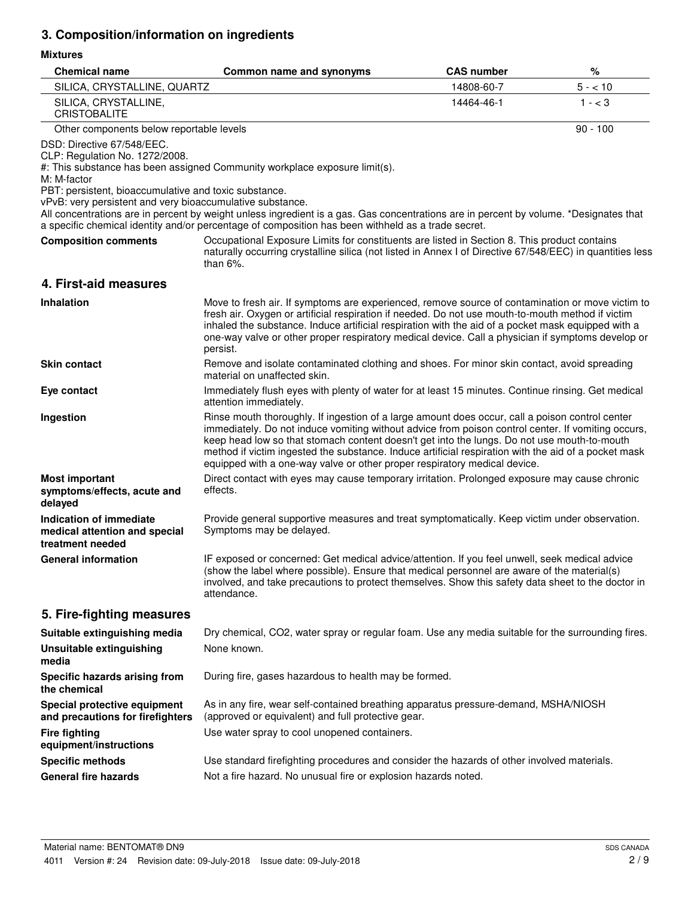# **3. Composition/information on ingredients**

## **Mixtures**

| <b>Chemical name</b>                                                                                                                                                                              | Common name and synonyms                                                                                                                                                                                                                                                                                                                                                                                                                                                                  | <b>CAS number</b> | %          |
|---------------------------------------------------------------------------------------------------------------------------------------------------------------------------------------------------|-------------------------------------------------------------------------------------------------------------------------------------------------------------------------------------------------------------------------------------------------------------------------------------------------------------------------------------------------------------------------------------------------------------------------------------------------------------------------------------------|-------------------|------------|
| SILICA, CRYSTALLINE, QUARTZ                                                                                                                                                                       |                                                                                                                                                                                                                                                                                                                                                                                                                                                                                           | 14808-60-7        | $5 - 10$   |
| SILICA, CRYSTALLINE,<br><b>CRISTOBALITE</b>                                                                                                                                                       |                                                                                                                                                                                                                                                                                                                                                                                                                                                                                           | 14464-46-1        | $1 - < 3$  |
| Other components below reportable levels                                                                                                                                                          |                                                                                                                                                                                                                                                                                                                                                                                                                                                                                           |                   | $90 - 100$ |
| DSD: Directive 67/548/EEC.<br>CLP: Regulation No. 1272/2008.<br>M: M-factor<br>PBT: persistent, bioaccumulative and toxic substance.<br>vPvB: very persistent and very bioaccumulative substance. | #: This substance has been assigned Community workplace exposure limit(s).                                                                                                                                                                                                                                                                                                                                                                                                                |                   |            |
|                                                                                                                                                                                                   | All concentrations are in percent by weight unless ingredient is a gas. Gas concentrations are in percent by volume. *Designates that<br>a specific chemical identity and/or percentage of composition has been withheld as a trade secret.                                                                                                                                                                                                                                               |                   |            |
| <b>Composition comments</b>                                                                                                                                                                       | Occupational Exposure Limits for constituents are listed in Section 8. This product contains<br>naturally occurring crystalline silica (not listed in Annex I of Directive 67/548/EEC) in quantities less<br>than $6\%$ .                                                                                                                                                                                                                                                                 |                   |            |
| 4. First-aid measures                                                                                                                                                                             |                                                                                                                                                                                                                                                                                                                                                                                                                                                                                           |                   |            |
| <b>Inhalation</b>                                                                                                                                                                                 | Move to fresh air. If symptoms are experienced, remove source of contamination or move victim to<br>fresh air. Oxygen or artificial respiration if needed. Do not use mouth-to-mouth method if victim<br>inhaled the substance. Induce artificial respiration with the aid of a pocket mask equipped with a<br>one-way valve or other proper respiratory medical device. Call a physician if symptoms develop or<br>persist.                                                              |                   |            |
| <b>Skin contact</b>                                                                                                                                                                               | Remove and isolate contaminated clothing and shoes. For minor skin contact, avoid spreading<br>material on unaffected skin.                                                                                                                                                                                                                                                                                                                                                               |                   |            |
| Eye contact                                                                                                                                                                                       | Immediately flush eyes with plenty of water for at least 15 minutes. Continue rinsing. Get medical<br>attention immediately.                                                                                                                                                                                                                                                                                                                                                              |                   |            |
| Ingestion                                                                                                                                                                                         | Rinse mouth thoroughly. If ingestion of a large amount does occur, call a poison control center<br>immediately. Do not induce vomiting without advice from poison control center. If vomiting occurs,<br>keep head low so that stomach content doesn't get into the lungs. Do not use mouth-to-mouth<br>method if victim ingested the substance. Induce artificial respiration with the aid of a pocket mask<br>equipped with a one-way valve or other proper respiratory medical device. |                   |            |
| <b>Most important</b><br>symptoms/effects, acute and<br>delayed                                                                                                                                   | Direct contact with eyes may cause temporary irritation. Prolonged exposure may cause chronic<br>effects.                                                                                                                                                                                                                                                                                                                                                                                 |                   |            |
| Indication of immediate<br>medical attention and special<br>treatment needed                                                                                                                      | Provide general supportive measures and treat symptomatically. Keep victim under observation.<br>Symptoms may be delayed.                                                                                                                                                                                                                                                                                                                                                                 |                   |            |
| <b>General information</b>                                                                                                                                                                        | IF exposed or concerned: Get medical advice/attention. If you feel unwell, seek medical advice<br>(show the label where possible). Ensure that medical personnel are aware of the material(s)<br>involved, and take precautions to protect themselves. Show this safety data sheet to the doctor in<br>attendance.                                                                                                                                                                        |                   |            |
| 5. Fire-fighting measures                                                                                                                                                                         |                                                                                                                                                                                                                                                                                                                                                                                                                                                                                           |                   |            |
| Suitable extinguishing media                                                                                                                                                                      | Dry chemical, CO2, water spray or regular foam. Use any media suitable for the surrounding fires.                                                                                                                                                                                                                                                                                                                                                                                         |                   |            |
| <b>Unsuitable extinguishing</b><br>media                                                                                                                                                          | None known.                                                                                                                                                                                                                                                                                                                                                                                                                                                                               |                   |            |
| Specific hazards arising from<br>the chemical                                                                                                                                                     | During fire, gases hazardous to health may be formed.                                                                                                                                                                                                                                                                                                                                                                                                                                     |                   |            |
| Special protective equipment<br>and precautions for firefighters                                                                                                                                  | As in any fire, wear self-contained breathing apparatus pressure-demand, MSHA/NIOSH<br>(approved or equivalent) and full protective gear.                                                                                                                                                                                                                                                                                                                                                 |                   |            |
| <b>Fire fighting</b><br>equipment/instructions                                                                                                                                                    | Use water spray to cool unopened containers.                                                                                                                                                                                                                                                                                                                                                                                                                                              |                   |            |
| <b>Specific methods</b>                                                                                                                                                                           | Use standard firefighting procedures and consider the hazards of other involved materials.                                                                                                                                                                                                                                                                                                                                                                                                |                   |            |
| <b>General fire hazards</b>                                                                                                                                                                       | Not a fire hazard. No unusual fire or explosion hazards noted.                                                                                                                                                                                                                                                                                                                                                                                                                            |                   |            |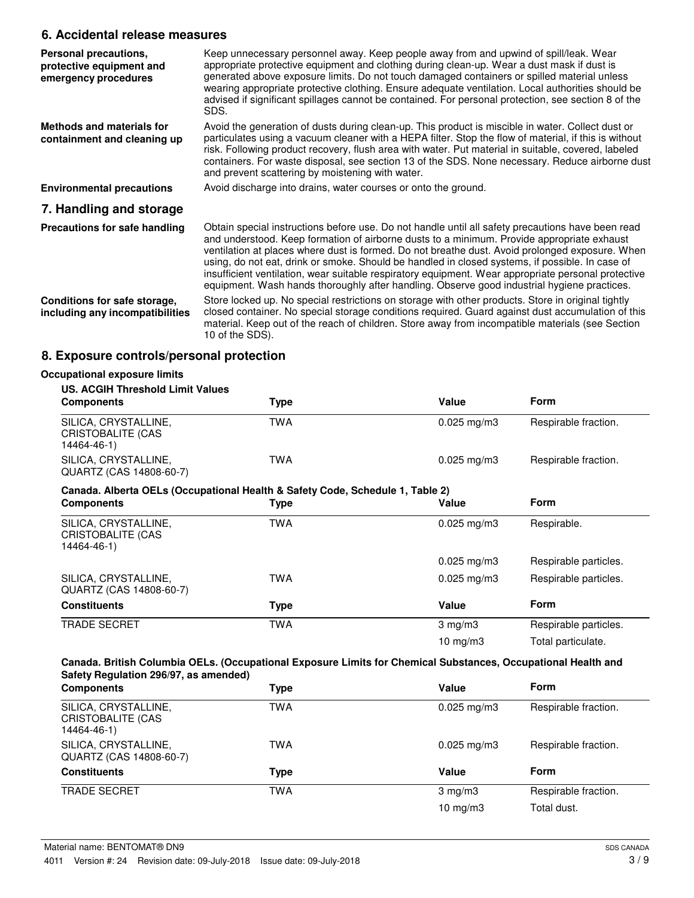# **6. Accidental release measures**

| Personal precautions,<br>protective equipment and<br>emergency procedures | Keep unnecessary personnel away. Keep people away from and upwind of spill/leak. Wear<br>appropriate protective equipment and clothing during clean-up. Wear a dust mask if dust is<br>generated above exposure limits. Do not touch damaged containers or spilled material unless<br>wearing appropriate protective clothing. Ensure adequate ventilation. Local authorities should be<br>advised if significant spillages cannot be contained. For personal protection, see section 8 of the<br>SDS.                                                                                                      |
|---------------------------------------------------------------------------|-------------------------------------------------------------------------------------------------------------------------------------------------------------------------------------------------------------------------------------------------------------------------------------------------------------------------------------------------------------------------------------------------------------------------------------------------------------------------------------------------------------------------------------------------------------------------------------------------------------|
| Methods and materials for<br>containment and cleaning up                  | Avoid the generation of dusts during clean-up. This product is miscible in water. Collect dust or<br>particulates using a vacuum cleaner with a HEPA filter. Stop the flow of material, if this is without<br>risk. Following product recovery, flush area with water. Put material in suitable, covered, labeled<br>containers. For waste disposal, see section 13 of the SDS. None necessary. Reduce airborne dust<br>and prevent scattering by moistening with water.                                                                                                                                    |
| <b>Environmental precautions</b>                                          | Avoid discharge into drains, water courses or onto the ground.                                                                                                                                                                                                                                                                                                                                                                                                                                                                                                                                              |
| 7. Handling and storage                                                   |                                                                                                                                                                                                                                                                                                                                                                                                                                                                                                                                                                                                             |
| Precautions for safe handling                                             | Obtain special instructions before use. Do not handle until all safety precautions have been read<br>and understood. Keep formation of airborne dusts to a minimum. Provide appropriate exhaust<br>ventilation at places where dust is formed. Do not breathe dust. Avoid prolonged exposure. When<br>using, do not eat, drink or smoke. Should be handled in closed systems, if possible. In case of<br>insufficient ventilation, wear suitable respiratory equipment. Wear appropriate personal protective<br>equipment. Wash hands thoroughly after handling. Observe good industrial hygiene practices. |
| Conditions for safe storage,<br>including any incompatibilities           | Store locked up. No special restrictions on storage with other products. Store in original tightly<br>closed container. No special storage conditions required. Guard against dust accumulation of this<br>material. Keep out of the reach of children. Store away from incompatible materials (see Section<br>10 of the SDS).                                                                                                                                                                                                                                                                              |

# **8. Exposure controls/personal protection**

| <b>US. ACGIH Threshold Limit Values</b>                                       |            |                         |                       |
|-------------------------------------------------------------------------------|------------|-------------------------|-----------------------|
| <b>Components</b>                                                             | Type       | Value                   | <b>Form</b>           |
| SILICA, CRYSTALLINE,<br><b>CRISTOBALITE (CAS</b><br>14464-46-1)               | <b>TWA</b> | $0.025$ mg/m3           | Respirable fraction.  |
| SILICA, CRYSTALLINE,<br>QUARTZ (CAS 14808-60-7)                               | <b>TWA</b> | $0.025 \,\mathrm{mg/m}$ | Respirable fraction.  |
| Canada. Alberta OELs (Occupational Health & Safety Code, Schedule 1, Table 2) |            |                         |                       |
| <b>Components</b>                                                             | Type       | Value                   | <b>Form</b>           |
| SILICA, CRYSTALLINE,<br>CRISTOBALITE (CAS<br>14464-46-1)                      | <b>TWA</b> | $0.025$ mg/m3           | Respirable.           |
|                                                                               |            | $0.025$ mg/m3           | Respirable particles. |
| SILICA, CRYSTALLINE,<br>QUARTZ (CAS 14808-60-7)                               | TWA        | $0.025 \,\mathrm{mg/m}$ | Respirable particles. |
| <b>Constituents</b>                                                           | Type       | Value                   | Form                  |
| <b>TRADE SECRET</b>                                                           | <b>TWA</b> | $3 \text{ mg/m}$        | Respirable particles. |
|                                                                               |            | 10 mg/m $3$             | Total particulate.    |

| <b>Components</b>                                        | Type | Value                    | <b>Form</b>          |
|----------------------------------------------------------|------|--------------------------|----------------------|
| SILICA, CRYSTALLINE,<br>CRISTOBALITE (CAS<br>14464-46-1) | TWA  | $0.025 \,\mathrm{mg/m}$  | Respirable fraction. |
| SILICA, CRYSTALLINE,<br>QUARTZ (CAS 14808-60-7)          | TWA  | $0.025 \,\mathrm{mq/m3}$ | Respirable fraction. |
| <b>Constituents</b>                                      | Type | Value                    | <b>Form</b>          |
| <b>TRADE SECRET</b>                                      | TWA  | $3 \text{ mg/m}$         | Respirable fraction. |
|                                                          |      | 10 $mg/m3$               | Total dust.          |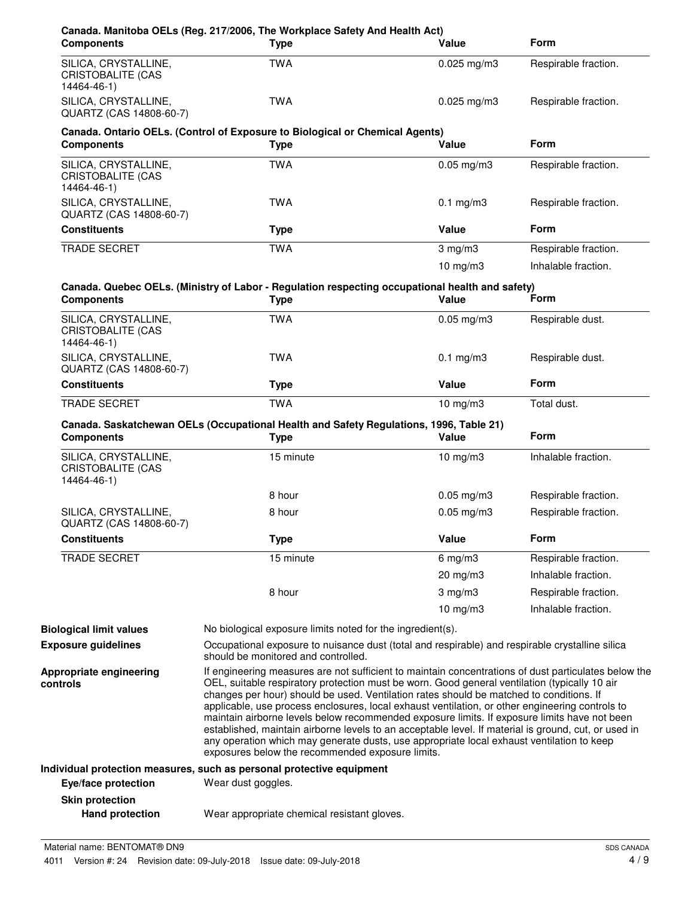| <b>Components</b>                                               | Canada. Manitoba OELs (Reg. 217/2006, The Workplace Safety And Health Act)<br><b>Type</b>                                                                                                                                                                                                                                                                                                                                                                                                                                                                                                                                                                                                                                                                    | Value           | <b>Form</b>          |
|-----------------------------------------------------------------|--------------------------------------------------------------------------------------------------------------------------------------------------------------------------------------------------------------------------------------------------------------------------------------------------------------------------------------------------------------------------------------------------------------------------------------------------------------------------------------------------------------------------------------------------------------------------------------------------------------------------------------------------------------------------------------------------------------------------------------------------------------|-----------------|----------------------|
| SILICA, CRYSTALLINE,<br>CRISTOBALITE (CAS<br>14464-46-1)        | <b>TWA</b>                                                                                                                                                                                                                                                                                                                                                                                                                                                                                                                                                                                                                                                                                                                                                   | $0.025$ mg/m3   | Respirable fraction. |
| SILICA, CRYSTALLINE,<br>QUARTZ (CAS 14808-60-7)                 | <b>TWA</b>                                                                                                                                                                                                                                                                                                                                                                                                                                                                                                                                                                                                                                                                                                                                                   | $0.025$ mg/m3   | Respirable fraction. |
| <b>Components</b>                                               | Canada. Ontario OELs. (Control of Exposure to Biological or Chemical Agents)<br><b>Type</b>                                                                                                                                                                                                                                                                                                                                                                                                                                                                                                                                                                                                                                                                  | Value           | <b>Form</b>          |
| SILICA, CRYSTALLINE,<br><b>CRISTOBALITE (CAS</b><br>14464-46-1) | <b>TWA</b>                                                                                                                                                                                                                                                                                                                                                                                                                                                                                                                                                                                                                                                                                                                                                   | $0.05$ mg/m $3$ | Respirable fraction. |
| SILICA, CRYSTALLINE,<br>QUARTZ (CAS 14808-60-7)                 | <b>TWA</b>                                                                                                                                                                                                                                                                                                                                                                                                                                                                                                                                                                                                                                                                                                                                                   | $0.1$ mg/m $3$  | Respirable fraction. |
| <b>Constituents</b>                                             | <b>Type</b>                                                                                                                                                                                                                                                                                                                                                                                                                                                                                                                                                                                                                                                                                                                                                  | Value           | <b>Form</b>          |
| <b>TRADE SECRET</b>                                             | <b>TWA</b>                                                                                                                                                                                                                                                                                                                                                                                                                                                                                                                                                                                                                                                                                                                                                   | $3$ mg/m $3$    | Respirable fraction. |
|                                                                 |                                                                                                                                                                                                                                                                                                                                                                                                                                                                                                                                                                                                                                                                                                                                                              | $10$ mg/m $3$   | Inhalable fraction.  |
| <b>Components</b>                                               | Canada. Quebec OELs. (Ministry of Labor - Regulation respecting occupational health and safety)<br><b>Type</b>                                                                                                                                                                                                                                                                                                                                                                                                                                                                                                                                                                                                                                               | Value           | Form                 |
| SILICA, CRYSTALLINE,<br><b>CRISTOBALITE (CAS</b><br>14464-46-1) | <b>TWA</b>                                                                                                                                                                                                                                                                                                                                                                                                                                                                                                                                                                                                                                                                                                                                                   | $0.05$ mg/m $3$ | Respirable dust.     |
| SILICA, CRYSTALLINE,<br>QUARTZ (CAS 14808-60-7)                 | <b>TWA</b>                                                                                                                                                                                                                                                                                                                                                                                                                                                                                                                                                                                                                                                                                                                                                   | $0.1$ mg/m $3$  | Respirable dust.     |
| <b>Constituents</b>                                             | <b>Type</b>                                                                                                                                                                                                                                                                                                                                                                                                                                                                                                                                                                                                                                                                                                                                                  | Value           | <b>Form</b>          |
| TRADE SECRET                                                    | <b>TWA</b>                                                                                                                                                                                                                                                                                                                                                                                                                                                                                                                                                                                                                                                                                                                                                   | $10$ mg/m $3$   | Total dust.          |
| <b>Components</b>                                               | Canada. Saskatchewan OELs (Occupational Health and Safety Regulations, 1996, Table 21)<br><b>Type</b>                                                                                                                                                                                                                                                                                                                                                                                                                                                                                                                                                                                                                                                        | Value           | <b>Form</b>          |
| SILICA, CRYSTALLINE,<br><b>CRISTOBALITE (CAS</b><br>14464-46-1) | 15 minute                                                                                                                                                                                                                                                                                                                                                                                                                                                                                                                                                                                                                                                                                                                                                    | $10$ mg/m $3$   | Inhalable fraction.  |
|                                                                 | 8 hour                                                                                                                                                                                                                                                                                                                                                                                                                                                                                                                                                                                                                                                                                                                                                       | $0.05$ mg/m3    | Respirable fraction. |
| SILICA, CRYSTALLINE,<br>QUARTZ (CAS 14808-60-7)                 | 8 hour                                                                                                                                                                                                                                                                                                                                                                                                                                                                                                                                                                                                                                                                                                                                                       | $0.05$ mg/m $3$ | Respirable fraction. |
| <b>Constituents</b>                                             | <b>Type</b>                                                                                                                                                                                                                                                                                                                                                                                                                                                                                                                                                                                                                                                                                                                                                  | Value           | Form                 |
| <b>TRADE SECRET</b>                                             | 15 minute                                                                                                                                                                                                                                                                                                                                                                                                                                                                                                                                                                                                                                                                                                                                                    | $6$ mg/m $3$    | Respirable fraction. |
|                                                                 |                                                                                                                                                                                                                                                                                                                                                                                                                                                                                                                                                                                                                                                                                                                                                              | 20 mg/m3        | Inhalable fraction.  |
|                                                                 | 8 hour                                                                                                                                                                                                                                                                                                                                                                                                                                                                                                                                                                                                                                                                                                                                                       | $3$ mg/m $3$    | Respirable fraction. |
|                                                                 |                                                                                                                                                                                                                                                                                                                                                                                                                                                                                                                                                                                                                                                                                                                                                              | 10 $mg/m3$      | Inhalable fraction.  |
| <b>Biological limit values</b>                                  | No biological exposure limits noted for the ingredient(s).                                                                                                                                                                                                                                                                                                                                                                                                                                                                                                                                                                                                                                                                                                   |                 |                      |
| <b>Exposure guidelines</b>                                      | Occupational exposure to nuisance dust (total and respirable) and respirable crystalline silica<br>should be monitored and controlled.                                                                                                                                                                                                                                                                                                                                                                                                                                                                                                                                                                                                                       |                 |                      |
| Appropriate engineering<br>controls                             | If engineering measures are not sufficient to maintain concentrations of dust particulates below the<br>OEL, suitable respiratory protection must be worn. Good general ventilation (typically 10 air<br>changes per hour) should be used. Ventilation rates should be matched to conditions. If<br>applicable, use process enclosures, local exhaust ventilation, or other engineering controls to<br>maintain airborne levels below recommended exposure limits. If exposure limits have not been<br>established, maintain airborne levels to an acceptable level. If material is ground, cut, or used in<br>any operation which may generate dusts, use appropriate local exhaust ventilation to keep<br>exposures below the recommended exposure limits. |                 |                      |
|                                                                 |                                                                                                                                                                                                                                                                                                                                                                                                                                                                                                                                                                                                                                                                                                                                                              |                 |                      |
| Eye/face protection                                             | Individual protection measures, such as personal protective equipment<br>Wear dust goggles.                                                                                                                                                                                                                                                                                                                                                                                                                                                                                                                                                                                                                                                                  |                 |                      |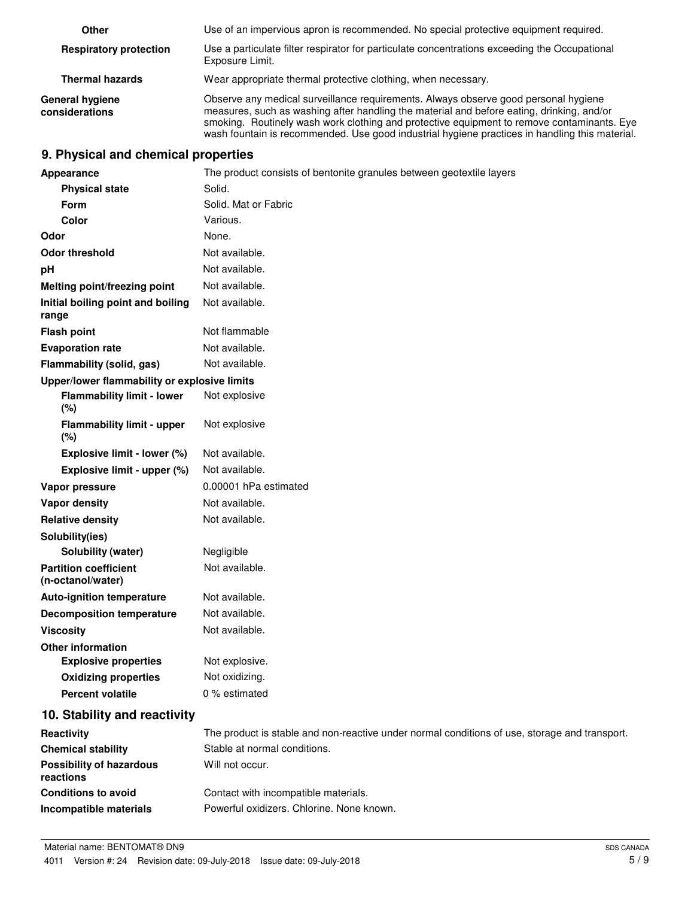| Other                                    | Use of an impervious apron is recommended. No special protective equipment required.                                                                                                                                                                                                                                                                                             |
|------------------------------------------|----------------------------------------------------------------------------------------------------------------------------------------------------------------------------------------------------------------------------------------------------------------------------------------------------------------------------------------------------------------------------------|
| <b>Respiratory protection</b>            | Use a particulate filter respirator for particulate concentrations exceeding the Occupational<br>Exposure Limit.                                                                                                                                                                                                                                                                 |
| <b>Thermal hazards</b>                   | Wear appropriate thermal protective clothing, when necessary.                                                                                                                                                                                                                                                                                                                    |
| <b>General hygiene</b><br>considerations | Observe any medical surveillance requirements. Always observe good personal hygiene<br>measures, such as washing after handling the material and before eating, drinking, and/or<br>smoking. Routinely wash work clothing and protective equipment to remove contaminants. Eye<br>wash fountain is recommended. Use good industrial hygiene practices in handling this material. |

# **9. Physical and chemical properties**

| Appearance                                        | The product consists of bentonite granules between geotextile layers                          |
|---------------------------------------------------|-----------------------------------------------------------------------------------------------|
| <b>Physical state</b>                             | Solid.                                                                                        |
| Form                                              | Solid. Mat or Fabric                                                                          |
| Color                                             | Various.                                                                                      |
| Odor                                              | None.                                                                                         |
| <b>Odor threshold</b>                             | Not available.                                                                                |
| pH                                                | Not available.                                                                                |
| Melting point/freezing point                      | Not available.                                                                                |
| Initial boiling point and boiling<br>range        | Not available.                                                                                |
| <b>Flash point</b>                                | Not flammable                                                                                 |
| <b>Evaporation rate</b>                           | Not available.                                                                                |
| Flammability (solid, gas)                         | Not available.                                                                                |
| Upper/lower flammability or explosive limits      |                                                                                               |
| <b>Flammability limit - lower</b><br>(%)          | Not explosive                                                                                 |
| <b>Flammability limit - upper</b><br>(%)          | Not explosive                                                                                 |
| Explosive limit - lower (%)                       | Not available.                                                                                |
| Explosive limit - upper (%)                       | Not available.                                                                                |
| Vapor pressure                                    | 0.00001 hPa estimated                                                                         |
| Vapor density                                     | Not available.                                                                                |
| <b>Relative density</b>                           | Not available.                                                                                |
| Solubility(ies)                                   |                                                                                               |
| Solubility (water)                                | Negligible                                                                                    |
| <b>Partition coefficient</b><br>(n-octanol/water) | Not available.                                                                                |
| <b>Auto-ignition temperature</b>                  | Not available.                                                                                |
| <b>Decomposition temperature</b>                  | Not available.                                                                                |
| <b>Viscosity</b>                                  | Not available.                                                                                |
| <b>Other information</b>                          |                                                                                               |
| <b>Explosive properties</b>                       | Not explosive.                                                                                |
| <b>Oxidizing properties</b>                       | Not oxidizing.                                                                                |
| <b>Percent volatile</b>                           | 0 % estimated                                                                                 |
| 10. Stability and reactivity                      |                                                                                               |
| Reactivity                                        | The product is stable and non-reactive under normal conditions of use, storage and transport. |
| <b>Chemical stability</b>                         | Stable at normal conditions.                                                                  |
| <b>Possibility of hazardous</b><br>reactions      | Will not occur.                                                                               |
| <b>Conditions to avoid</b>                        | Contact with incompatible materials.                                                          |
| Incompatible materials                            | Powerful oxidizers. Chlorine. None known.                                                     |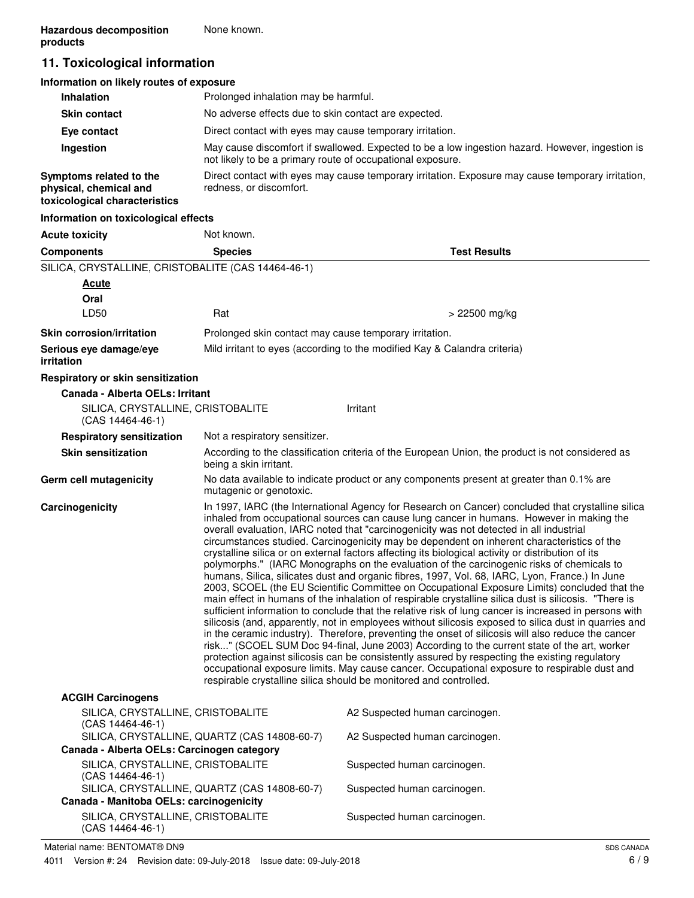# **11. Toxicological information**

| Information on likely routes of exposure                                           |                                                                                                                                                               |
|------------------------------------------------------------------------------------|---------------------------------------------------------------------------------------------------------------------------------------------------------------|
| <b>Inhalation</b>                                                                  | Prolonged inhalation may be harmful.                                                                                                                          |
| <b>Skin contact</b>                                                                | No adverse effects due to skin contact are expected.                                                                                                          |
| Eye contact                                                                        | Direct contact with eyes may cause temporary irritation.                                                                                                      |
| Ingestion                                                                          | May cause discomfort if swallowed. Expected to be a low ingestion hazard. However, ingestion is<br>not likely to be a primary route of occupational exposure. |
| Symptoms related to the<br>physical, chemical and<br>toxicological characteristics | Direct contact with eyes may cause temporary irritation. Exposure may cause temporary irritation,<br>redness, or discomfort.                                  |
| Information on toxicological effects                                               |                                                                                                                                                               |

#### **Acute toxicity** Not known. **Components Species Test Results** SILICA, CRYSTALLINE, CRISTOBALITE (CAS 14464-46-1) **Oral Acute**  $LD50$  Rat  $Rat$   $> 22500 \text{ mg/kg}$ **Skin corrosion/irritation Prolonged skin contact may cause temporary irritation. Serious eye damage/eye** Mild irritant to eyes (according to the modified Kay & Calandra criteria) **irritation Respiratory or skin sensitization Canada - Alberta OELs: Irritant** SILICA, CRYSTALLINE, CRISTOBALITE (CAS 14464-46-1) Irritant **Respiratory sensitization** Not a respiratory sensitizer. According to the classification criteria of the European Union, the product is not considered as being a skin irritant. **Skin sensitization** No data available to indicate product or any components present at greater than 0.1% are mutagenic or genotoxic. **Germ cell mutagenicity Carcinogenicity** In 1997, IARC (the International Agency for Research on Cancer) concluded that crystalline silica inhaled from occupational sources can cause lung cancer in humans. However in making the overall evaluation, IARC noted that "carcinogenicity was not detected in all industrial circumstances studied. Carcinogenicity may be dependent on inherent characteristics of the crystalline silica or on external factors affecting its biological activity or distribution of its polymorphs." (IARC Monographs on the evaluation of the carcinogenic risks of chemicals to humans, Silica, silicates dust and organic fibres, 1997, Vol. 68, IARC, Lyon, France.) In June 2003, SCOEL (the EU Scientific Committee on Occupational Exposure Limits) concluded that the main effect in humans of the inhalation of respirable crystalline silica dust is silicosis. "There is sufficient information to conclude that the relative risk of lung cancer is increased in persons with silicosis (and, apparently, not in employees without silicosis exposed to silica dust in quarries and in the ceramic industry). Therefore, preventing the onset of silicosis will also reduce the cancer risk..." (SCOEL SUM Doc 94-final, June 2003) According to the current state of the art, worker protection against silicosis can be consistently assured by respecting the existing regulatory occupational exposure limits. May cause cancer. Occupational exposure to respirable dust and respirable crystalline silica should be monitored and controlled. **ACGIH Carcinogens** SILICA, CRYSTALLINE, CRISTOBALITE (CAS 14464-46-1) A2 Suspected human carcinogen. SILICA, CRYSTALLINE, QUARTZ (CAS 14808-60-7) A2 Suspected human carcinogen. **Canada - Alberta OELs: Carcinogen category**

| Canada - Alberta OELS: Carcinogen category                                              |                             |
|-----------------------------------------------------------------------------------------|-----------------------------|
| SILICA, CRYSTALLINE, CRISTOBALITE<br>$(CAS 14464-46-1)$                                 | Suspected human carcinogen. |
| SILICA, CRYSTALLINE, QUARTZ (CAS 14808-60-7)<br>Canada - Manitoba OELs: carcinogenicity | Suspected human carcinogen. |
| SILICA, CRYSTALLINE, CRISTOBALITE<br>$(CAS 14464-46-1)$                                 | Suspected human carcinogen. |
|                                                                                         |                             |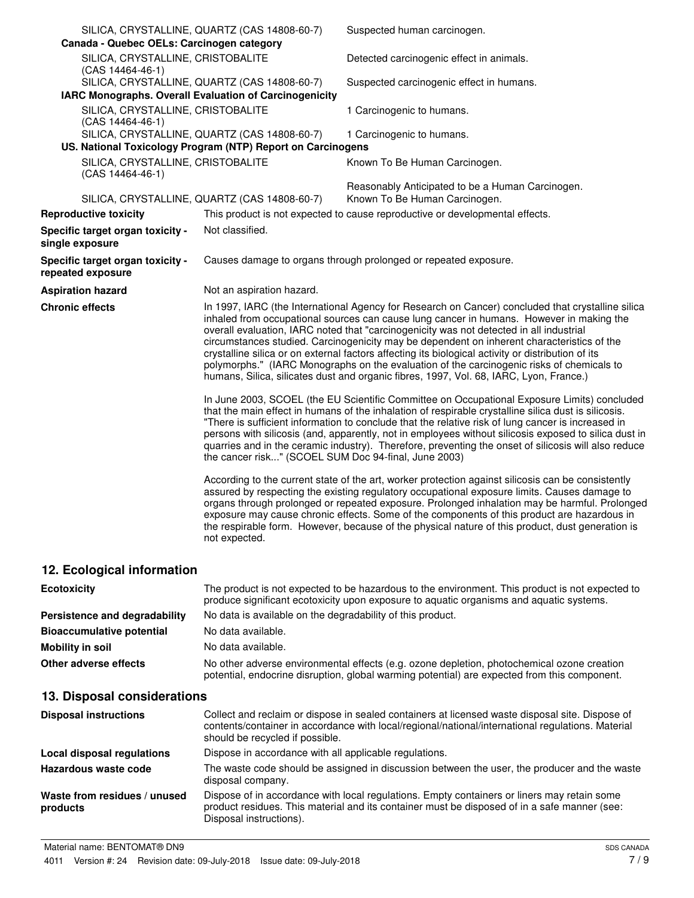| Canada - Quebec OELs: Carcinogen category               | SILICA, CRYSTALLINE, QUARTZ (CAS 14808-60-7)                                                                | Suspected human carcinogen.                                                                                                                                                                                                                                                                                                                                                                                                                                                                                                                                                                                                                                                         |
|---------------------------------------------------------|-------------------------------------------------------------------------------------------------------------|-------------------------------------------------------------------------------------------------------------------------------------------------------------------------------------------------------------------------------------------------------------------------------------------------------------------------------------------------------------------------------------------------------------------------------------------------------------------------------------------------------------------------------------------------------------------------------------------------------------------------------------------------------------------------------------|
| SILICA, CRYSTALLINE, CRISTOBALITE<br>(CAS 14464-46-1)   |                                                                                                             | Detected carcinogenic effect in animals.                                                                                                                                                                                                                                                                                                                                                                                                                                                                                                                                                                                                                                            |
|                                                         | SILICA, CRYSTALLINE, QUARTZ (CAS 14808-60-7)                                                                | Suspected carcinogenic effect in humans.                                                                                                                                                                                                                                                                                                                                                                                                                                                                                                                                                                                                                                            |
| IARC Monographs. Overall Evaluation of Carcinogenicity  |                                                                                                             |                                                                                                                                                                                                                                                                                                                                                                                                                                                                                                                                                                                                                                                                                     |
| SILICA, CRYSTALLINE, CRISTOBALITE<br>$(CAS 14464-46-1)$ |                                                                                                             | 1 Carcinogenic to humans.                                                                                                                                                                                                                                                                                                                                                                                                                                                                                                                                                                                                                                                           |
|                                                         | SILICA, CRYSTALLINE, QUARTZ (CAS 14808-60-7)<br>US. National Toxicology Program (NTP) Report on Carcinogens | 1 Carcinogenic to humans.                                                                                                                                                                                                                                                                                                                                                                                                                                                                                                                                                                                                                                                           |
| SILICA, CRYSTALLINE, CRISTOBALITE<br>(CAS 14464-46-1)   |                                                                                                             | Known To Be Human Carcinogen.                                                                                                                                                                                                                                                                                                                                                                                                                                                                                                                                                                                                                                                       |
|                                                         | SILICA, CRYSTALLINE, QUARTZ (CAS 14808-60-7)                                                                | Reasonably Anticipated to be a Human Carcinogen.<br>Known To Be Human Carcinogen.                                                                                                                                                                                                                                                                                                                                                                                                                                                                                                                                                                                                   |
| <b>Reproductive toxicity</b>                            |                                                                                                             | This product is not expected to cause reproductive or developmental effects.                                                                                                                                                                                                                                                                                                                                                                                                                                                                                                                                                                                                        |
| Specific target organ toxicity -<br>single exposure     | Not classified.                                                                                             |                                                                                                                                                                                                                                                                                                                                                                                                                                                                                                                                                                                                                                                                                     |
| Specific target organ toxicity -<br>repeated exposure   |                                                                                                             | Causes damage to organs through prolonged or repeated exposure.                                                                                                                                                                                                                                                                                                                                                                                                                                                                                                                                                                                                                     |
| <b>Aspiration hazard</b>                                | Not an aspiration hazard.                                                                                   |                                                                                                                                                                                                                                                                                                                                                                                                                                                                                                                                                                                                                                                                                     |
| <b>Chronic effects</b>                                  |                                                                                                             | In 1997, IARC (the International Agency for Research on Cancer) concluded that crystalline silica<br>inhaled from occupational sources can cause lung cancer in humans. However in making the<br>overall evaluation, IARC noted that "carcinogenicity was not detected in all industrial<br>circumstances studied. Carcinogenicity may be dependent on inherent characteristics of the<br>crystalline silica or on external factors affecting its biological activity or distribution of its<br>polymorphs." (IARC Monographs on the evaluation of the carcinogenic risks of chemicals to<br>humans, Silica, silicates dust and organic fibres, 1997, Vol. 68, IARC, Lyon, France.) |
|                                                         | the cancer risk" (SCOEL SUM Doc 94-final, June 2003)                                                        | In June 2003, SCOEL (the EU Scientific Committee on Occupational Exposure Limits) concluded<br>that the main effect in humans of the inhalation of respirable crystalline silica dust is silicosis.<br>"There is sufficient information to conclude that the relative risk of lung cancer is increased in<br>persons with silicosis (and, apparently, not in employees without silicosis exposed to silica dust in<br>quarries and in the ceramic industry). Therefore, preventing the onset of silicosis will also reduce                                                                                                                                                          |
|                                                         | not expected.                                                                                               | According to the current state of the art, worker protection against silicosis can be consistently<br>assured by respecting the existing regulatory occupational exposure limits. Causes damage to<br>organs through prolonged or repeated exposure. Prolonged inhalation may be harmful. Prolonged<br>exposure may cause chronic effects. Some of the components of this product are hazardous in<br>the respirable form. However, because of the physical nature of this product, dust generation is                                                                                                                                                                              |
| 12. Ecological information                              |                                                                                                             |                                                                                                                                                                                                                                                                                                                                                                                                                                                                                                                                                                                                                                                                                     |

| <b>Ecotoxicity</b>               | The product is not expected to be hazardous to the environment. This product is not expected to<br>produce significant ecotoxicity upon exposure to aquatic organisms and aquatic systems. |
|----------------------------------|--------------------------------------------------------------------------------------------------------------------------------------------------------------------------------------------|
| Persistence and degradability    | No data is available on the degradability of this product.                                                                                                                                 |
| <b>Bioaccumulative potential</b> | No data available.                                                                                                                                                                         |
| <b>Mobility in soil</b>          | No data available.                                                                                                                                                                         |
| Other adverse effects            | No other adverse environmental effects (e.g. ozone depletion, photochemical ozone creation<br>potential, endocrine disruption, global warming potential) are expected from this component. |

# **13. Disposal considerations**

| <b>Disposal instructions</b>             | Collect and reclaim or dispose in sealed containers at licensed waste disposal site. Dispose of<br>contents/container in accordance with local/regional/national/international regulations. Material<br>should be recycled if possible. |
|------------------------------------------|-----------------------------------------------------------------------------------------------------------------------------------------------------------------------------------------------------------------------------------------|
| Local disposal regulations               | Dispose in accordance with all applicable regulations.                                                                                                                                                                                  |
| Hazardous waste code                     | The waste code should be assigned in discussion between the user, the producer and the waste<br>disposal company.                                                                                                                       |
| Waste from residues / unused<br>products | Dispose of in accordance with local regulations. Empty containers or liners may retain some<br>product residues. This material and its container must be disposed of in a safe manner (see:<br>Disposal instructions).                  |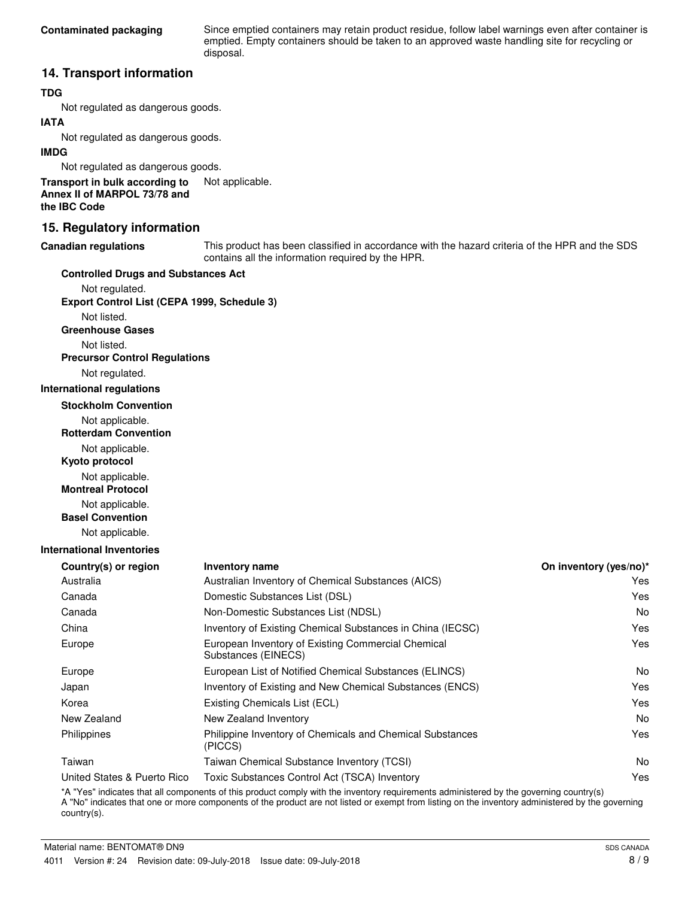Since emptied containers may retain product residue, follow label warnings even after container is emptied. Empty containers should be taken to an approved waste handling site for recycling or disposal.

## **14. Transport information**

## **TDG**

Not regulated as dangerous goods.

## **IATA**

Not regulated as dangerous goods.

#### **IMDG**

Not regulated as dangerous goods.

**Transport in bulk according to** Not applicable. **Annex II of MARPOL 73/78 and the IBC Code**

## **15. Regulatory information**

#### **Canadian regulations**

This product has been classified in accordance with the hazard criteria of the HPR and the SDS contains all the information required by the HPR.

#### **Controlled Drugs and Substances Act**

Not regulated. **Export Control List (CEPA 1999, Schedule 3)**

Not listed.

**Greenhouse Gases**

Not listed.

# **Precursor Control Regulations**

Not regulated.

#### **International regulations**

**Stockholm Convention**

- Not applicable.
- **Rotterdam Convention**

Not applicable.

**Kyoto protocol**

Not applicable.

**Montreal Protocol**

- Not applicable.
- **Basel Convention**

Not applicable.

#### **International Inventories**

| <b>Inventory name</b>                                                     | On inventory (yes/no)* |
|---------------------------------------------------------------------------|------------------------|
| Australian Inventory of Chemical Substances (AICS)                        | Yes                    |
| Domestic Substances List (DSL)                                            | Yes                    |
| Non-Domestic Substances List (NDSL)                                       | No.                    |
| Inventory of Existing Chemical Substances in China (IECSC)                | Yes                    |
| European Inventory of Existing Commercial Chemical<br>Substances (EINECS) | Yes                    |
| European List of Notified Chemical Substances (ELINCS)                    | N <sub>o</sub>         |
| Inventory of Existing and New Chemical Substances (ENCS)                  | Yes                    |
| Existing Chemicals List (ECL)                                             | Yes                    |
| New Zealand Inventory                                                     | No.                    |
| Philippine Inventory of Chemicals and Chemical Substances<br>(PICCS)      | Yes                    |
| Taiwan Chemical Substance Inventory (TCSI)                                | No.                    |
| Toxic Substances Control Act (TSCA) Inventory                             | Yes                    |
|                                                                           |                        |

\*A "Yes" indicates that all components of this product comply with the inventory requirements administered by the governing country(s) A "No" indicates that one or more components of the product are not listed or exempt from listing on the inventory administered by the governing country(s).